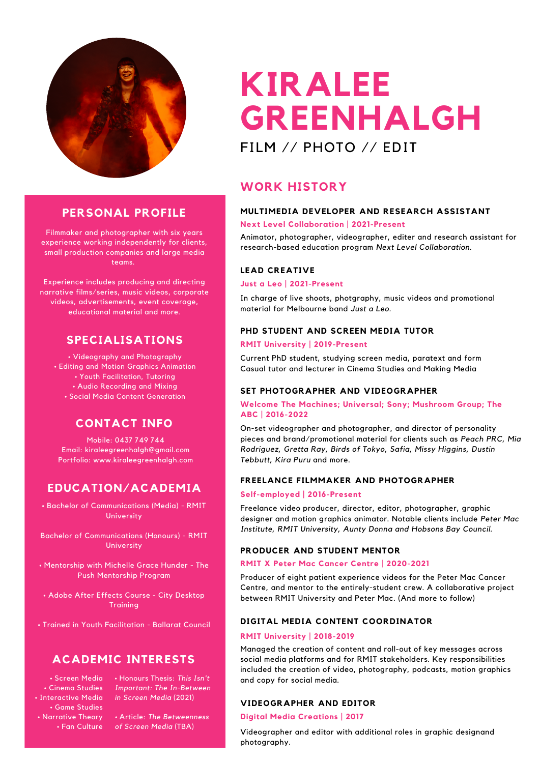

#### **PERSONAL PROFILE**

Filmmaker and photographer with six years experience working independently for clients, small production companies and large media teams.

Experience includes producing and directing narrative films/series, music videos, corporate videos, advertisements, event coverage, educational material and more.

#### **SPECIALISATIONS**

• Videography and Photography • Editing and Motion Graphics Animation • Youth Facilitation, Tutoring • Audio Recording and Mixing • Social Media Content Generation

#### **CONTACT INFO**

Mobile: 0437 749 744 Email: kiraleegreenhalgh@gmail.com Portfolio: www.kiraleegreenhalgh.com

#### **EDUCATION/ACADEMIA**

• Bachelor of Communications (Media) - RMIT University

Bachelor of Communications (Honours) - RMIT University

• Mentorship with Michelle Grace Hunder - The Push Mentorship Program

• Adobe After Effects Course - City Desktop **Training** 

• Trained in Youth Facilitation - Ballarat Council

#### **ACADEMIC INTERESTS**

• Screen Media • Cinema Studies • Interactive Media • Game Studies • Narrative Theory • Fan Culture • Honours Thesis: *This Isn't Important: The In-Between in Screen Media* (2021)

*•* Article: *The Betweenness of Screen Media* (TBA)

## **KIRALEE GREENHALGH** FILM // PHOTO // EDIT

#### **WORK HISTORY**

#### **MULTIMEDIA DEVELOPER AND RESEARCH ASSISTANT**

#### **Next Level Collaboration | 2021-Present**

Animator, photographer, videographer, editer and research assistant for research-based education program *Next Level Collaboration.*

#### **LEAD CREATIVE**

#### **Just a Leo | 2021-Present**

In charge of live shoots, photgraphy, music videos and promotional material for Melbourne band *Just a Leo.*

#### **PHD STUDENT AND SCREEN MEDIA TUTOR**

#### **RMIT University | 2019-Present**

Current PhD student, studying screen media, paratext and form Casual tutor and lecturer in Cinema Studies and Making Media

#### **SET PHOTOGRAPHER AND VIDEOGRAPHER**

#### **Welcome The Machines; Universal; Sony; Mushroom Group; The ABC | 2016-2022**

On-set videographer and photographer, and director of personality pieces and brand/promotional material for clients such as *Peach PRC, Mia Rodriguez, Gretta Ray, Birds of Tokyo, Safia, Missy Higgins, Dustin Tebbutt, Kira Puru* and more.

#### **FREELANCE FILMMAKER AND PHOTOGRAPHER**

#### **Self-employed | 2016-Present**

Freelance video producer, director, editor, photographer, graphic designer and motion graphics animator. Notable clients include *Peter Mac Institute, RMIT University, Aunty Donna and Hobsons Bay Council.*

#### **PRODUCER AND STUDENT MENTOR**

#### **RMIT X Peter Mac Cancer Centre | 2020-2021**

Producer of eight patient experience videos for the Peter Mac Cancer Centre, and mentor to the entirely-student crew. A collaborative project between RMIT University and Peter Mac. (And more to follow)

#### **DIGITAL MEDIA CONTENT COORDINATOR**

#### **RMIT University | 2018-2019**

Managed the creation of content and roll-out of key messages across social media platforms and for RMIT stakeholders. Key responsibilities included the creation of video, photography, podcasts, motion graphics and copy for social media.

#### **VIDEOGRAPHER AND EDITOR**

#### **Digital Media Creations | 2017**

Videographer and editor with additional roles in graphic designand photography.